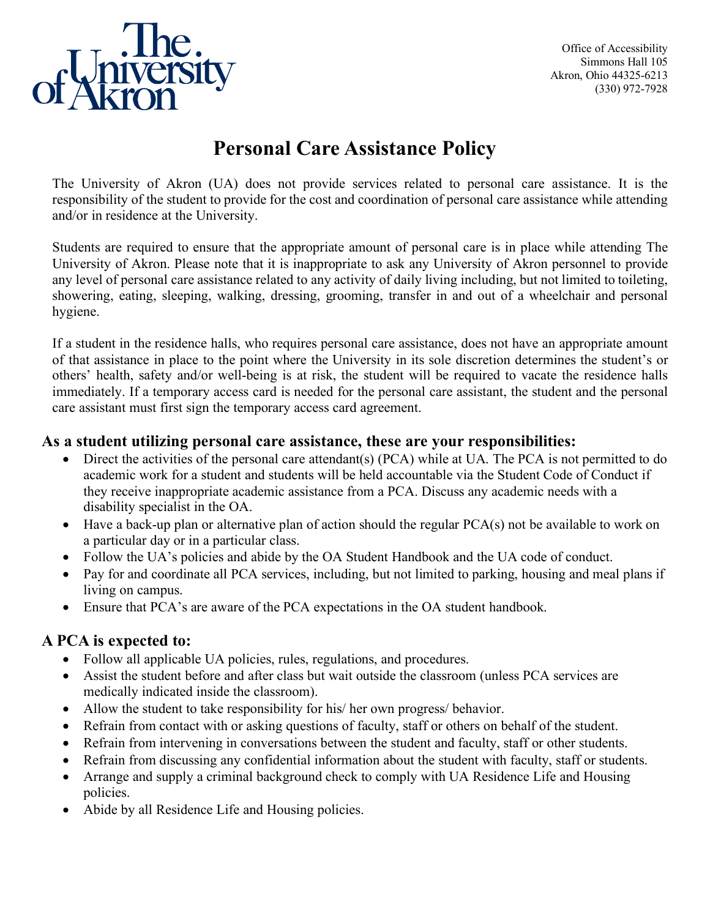

Office of Accessibility Simmons Hall 105 Akron, Ohio 44325-6213 (330) 972-7928

## **Personal Care Assistance Policy**

The University of Akron (UA) does not provide services related to personal care assistance. It is the responsibility of the student to provide for the cost and coordination of personal care assistance while attending and/or in residence at the University.

Students are required to ensure that the appropriate amount of personal care is in place while attending The University of Akron. Please note that it is inappropriate to ask any University of Akron personnel to provide any level of personal care assistance related to any activity of daily living including, but not limited to toileting, showering, eating, sleeping, walking, dressing, grooming, transfer in and out of a wheelchair and personal hygiene.

If a student in the residence halls, who requires personal care assistance, does not have an appropriate amount of that assistance in place to the point where the University in its sole discretion determines the student's or others' health, safety and/or well-being is at risk, the student will be required to vacate the residence halls immediately. If a temporary access card is needed for the personal care assistant, the student and the personal care assistant must first sign the temporary access card agreement.

## **As a student utilizing personal care assistance, these are your responsibilities:**

- Direct the activities of the personal care attendant(s) (PCA) while at UA. The PCA is not permitted to do academic work for a student and students will be held accountable via the Student Code of Conduct if they receive inappropriate academic assistance from a PCA. Discuss any academic needs with a disability specialist in the OA.
- Have a back-up plan or alternative plan of action should the regular PCA(s) not be available to work on a particular day or in a particular class.
- Follow the UA's policies and abide by the OA Student Handbook and the UA code of conduct.
- Pay for and coordinate all PCA services, including, but not limited to parking, housing and meal plans if living on campus.
- Ensure that PCA's are aware of the PCA expectations in the OA student handbook.

## **A PCA is expected to:**

- Follow all applicable UA policies, rules, regulations, and procedures.
- Assist the student before and after class but wait outside the classroom (unless PCA services are medically indicated inside the classroom).
- Allow the student to take responsibility for his/ her own progress/ behavior.
- Refrain from contact with or asking questions of faculty, staff or others on behalf of the student.
- Refrain from intervening in conversations between the student and faculty, staff or other students.
- Refrain from discussing any confidential information about the student with faculty, staff or students.
- Arrange and supply a criminal background check to comply with UA Residence Life and Housing policies.
- Abide by all Residence Life and Housing policies.